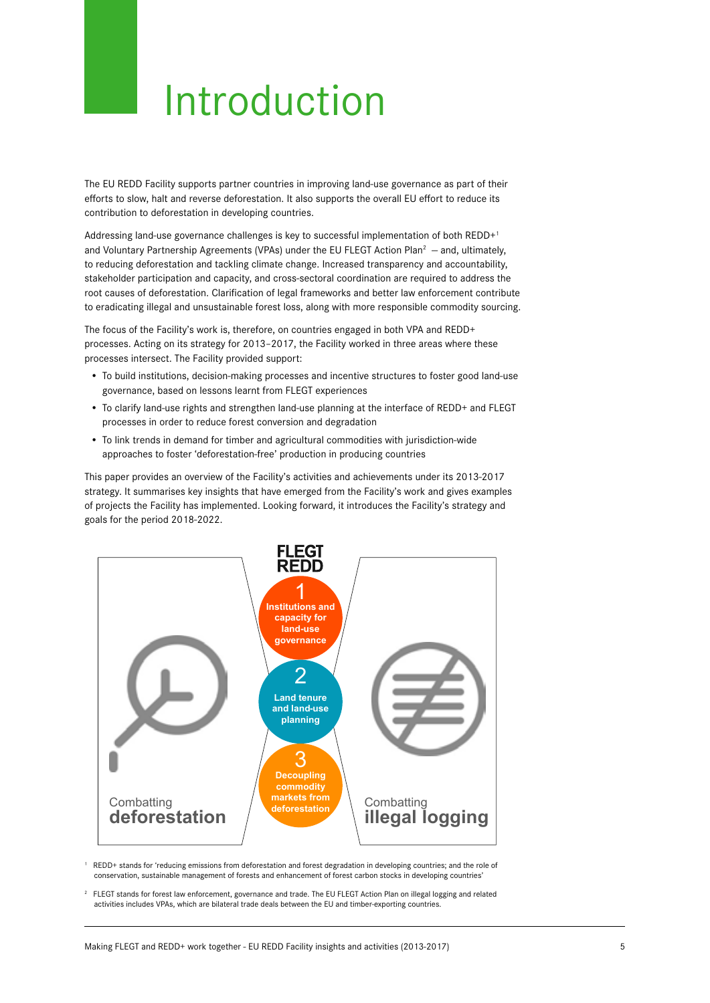## Introduction

The EU REDD Facility supports partner countries in improving land-use governance as part of their efforts to slow, halt and reverse deforestation. It also supports the overall EU effort to reduce its contribution to deforestation in developing countries.

Addressing land-use governance challenges is key to successful implementation of both REDD+1 and Voluntary Partnership Agreements (VPAs) under the EU FLEGT Action Plan<sup>2</sup>  $-$  and, ultimately, to reducing deforestation and tackling climate change. Increased transparency and accountability, stakeholder participation and capacity, and cross-sectoral coordination are required to address the root causes of deforestation. Clarification of legal frameworks and better law enforcement contribute to eradicating illegal and unsustainable forest loss, along with more responsible commodity sourcing.

The focus of the Facility's work is, therefore, on countries engaged in both VPA and REDD+ processes. Acting on its strategy for 2013–2017, the Facility worked in three areas where these processes intersect. The Facility provided support:

- To build institutions, decision-making processes and incentive structures to foster good land-use governance, based on lessons learnt from FLEGT experiences
- To clarify land-use rights and strengthen land-use planning at the interface of REDD+ and FLEGT processes in order to reduce forest conversion and degradation
- To link trends in demand for timber and agricultural commodities with jurisdiction-wide approaches to foster 'deforestation-free' production in producing countries

This paper provides an overview of the Facility's activities and achievements under its 2013-2017 strategy. It summarises key insights that have emerged from the Facility's work and gives examples of projects the Facility has implemented. Looking forward, it introduces the Facility's strategy and goals for the period 2018-2022.



1 REDD+ stands for 'reducing emissions from deforestation and forest degradation in developing countries; and the role of conservation, sustainable management of forests and enhancement of forest carbon stocks in developing countries'

2 FLEGT stands for forest law enforcement, governance and trade. The EU FLEGT Action Plan on illegal logging and related activities includes VPAs, which are bilateral trade deals between the EU and timber-exporting countries.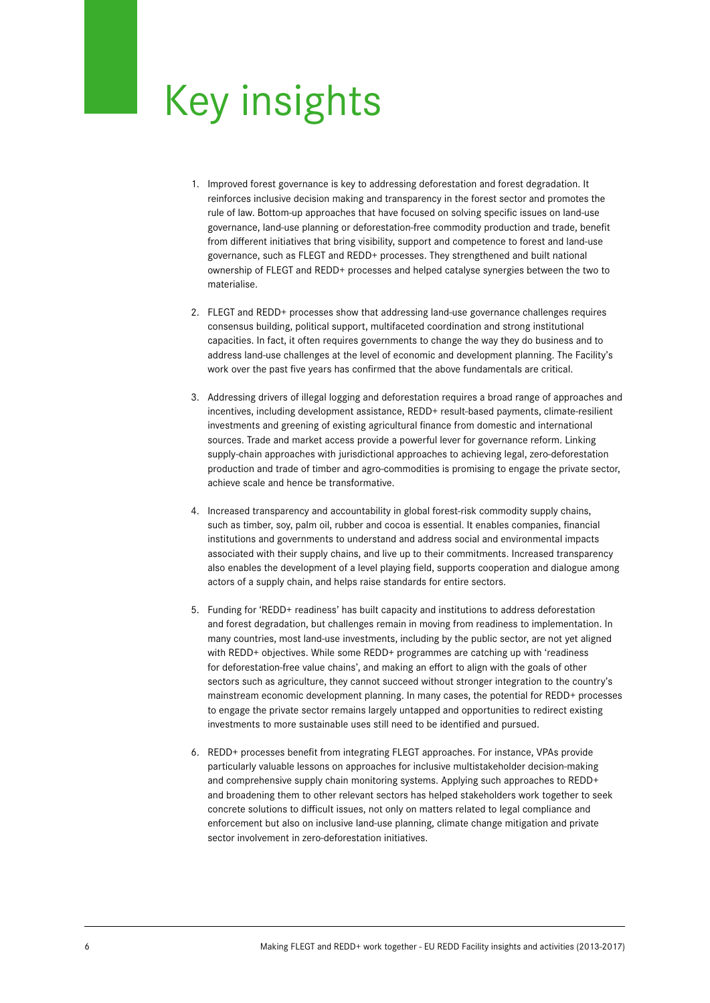## Key insights

- 1. Improved forest governance is key to addressing deforestation and forest degradation. It reinforces inclusive decision making and transparency in the forest sector and promotes the rule of law. Bottom-up approaches that have focused on solving specific issues on land-use governance, land-use planning or deforestation-free commodity production and trade, benefit from different initiatives that bring visibility, support and competence to forest and land-use governance, such as FLEGT and REDD+ processes. They strengthened and built national ownership of FLEGT and REDD+ processes and helped catalyse synergies between the two to materialise.
- 2. FLEGT and REDD+ processes show that addressing land-use governance challenges requires consensus building, political support, multifaceted coordination and strong institutional capacities. In fact, it often requires governments to change the way they do business and to address land-use challenges at the level of economic and development planning. The Facility's work over the past five years has confirmed that the above fundamentals are critical.
- 3. Addressing drivers of illegal logging and deforestation requires a broad range of approaches and incentives, including development assistance, REDD+ result-based payments, climate-resilient investments and greening of existing agricultural finance from domestic and international sources. Trade and market access provide a powerful lever for governance reform. Linking supply-chain approaches with jurisdictional approaches to achieving legal, zero-deforestation production and trade of timber and agro-commodities is promising to engage the private sector, achieve scale and hence be transformative.
- 4. Increased transparency and accountability in global forest-risk commodity supply chains, such as timber, soy, palm oil, rubber and cocoa is essential. It enables companies, financial institutions and governments to understand and address social and environmental impacts associated with their supply chains, and live up to their commitments. Increased transparency also enables the development of a level playing field, supports cooperation and dialogue among actors of a supply chain, and helps raise standards for entire sectors.
- 5. Funding for 'REDD+ readiness' has built capacity and institutions to address deforestation and forest degradation, but challenges remain in moving from readiness to implementation. In many countries, most land-use investments, including by the public sector, are not yet aligned with REDD+ objectives. While some REDD+ programmes are catching up with 'readiness for deforestation-free value chains', and making an effort to align with the goals of other sectors such as agriculture, they cannot succeed without stronger integration to the country's mainstream economic development planning. In many cases, the potential for REDD+ processes to engage the private sector remains largely untapped and opportunities to redirect existing investments to more sustainable uses still need to be identified and pursued.
- 6. REDD+ processes benefit from integrating FLEGT approaches. For instance, VPAs provide particularly valuable lessons on approaches for inclusive multistakeholder decision-making and comprehensive supply chain monitoring systems. Applying such approaches to REDD+ and broadening them to other relevant sectors has helped stakeholders work together to seek concrete solutions to difficult issues, not only on matters related to legal compliance and enforcement but also on inclusive land-use planning, climate change mitigation and private sector involvement in zero-deforestation initiatives.